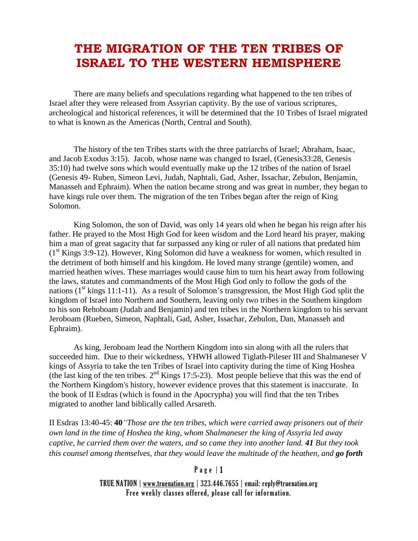# **THE MIGRATION OF THE TEN TRIBES OF ISRAEL TO THE WESTERN HEMISPHERE**

There are many beliefs and speculations regarding what happened to the ten tribes of Israel after they were released from Assyrian captivity. By the use of various scriptures, archeological and historical references, it will be determined that the 10 Tribes of Israel migrated to what is known as the Americas (North, Central and South).

The history of the ten Tribes starts with the three patriarchs of Israel; Abraham, Isaac, and Jacob Exodus 3:15). Jacob, whose name was changed to Israel, (Genesis33:28, Genesis 35:10) had twelve sons which would eventually make up the 12 tribes of the nation of Israel (Genesis 49- Ruben, Simeon Levi, Judah, Naphtali, Gad, Asher, Issachar, Zebulon, Benjamin, Manasseh and Ephraim). When the nation became strong and was great in number, they began to have kings rule over them. The migration of the ten Tribes began after the reign of King Solomon.

King Solomon, the son of David, was only 14 years old when he began his reign after his father. He prayed to the Most High God for keen wisdom and the Lord heard his prayer, making him a man of great sagacity that far surpassed any king or ruler of all nations that predated him  $(1<sup>st</sup>$  Kings 3:9-12). However, King Solomon did have a weakness for women, which resulted in the detriment of both himself and his kingdom. He loved many strange (gentile) women, and married heathen wives. These marriages would cause him to turn his heart away from following the laws, statutes and commandments of the Most High God only to follow the gods of the nations  $(1<sup>st</sup>$  kings 11:1-11). As a result of Solomon's transgression, the Most High God split the kingdom of Israel into Northern and Southern, leaving only two tribes in the Southern kingdom to his son Rehoboam (Judah and Benjamin) and ten tribes in the Northern kingdom to his servant Jeroboam (Rueben, Simeon, Naphtali, Gad, Asher, Issachar, Zebulon, Dan, Manasseh and Ephraim).

As king, Jeroboam lead the Northern Kingdom into sin along with all the rulers that succeeded him. Due to their wickedness, YHWH allowed Tiglath-Pileser III and Shalmaneser V kings of Assyria to take the ten Tribes of Israel into captivity during the time of King Hoshea (the last king of the ten tribes.  $2<sup>nd</sup>$  Kings 17:5-23). Most people believe that this was the end of the Northern Kingdom's history, however evidence proves that this statement is inaccurate. In the book of II Esdras (which is found in the Apocrypha) you will find that the ten Tribes migrated to another land biblically called Arsareth.

II Esdras 13:40-45: **40***"Those are the ten tribes, which were carried away prisoners out of their own land in the time of Hoshea the king, whom Shalmaneser the king of Assyria led away captive, he carried them over the waters, and so came they into another land. 41 But they took this counsel among themselves, that they would leave the multitude of the heathen, and go forth*

## $P$  a g e  $|1$

TRUE NATION | www.truenation.org | 323.446.7655 | email: reply@truenation.org Free weekly classes offered, please call for information.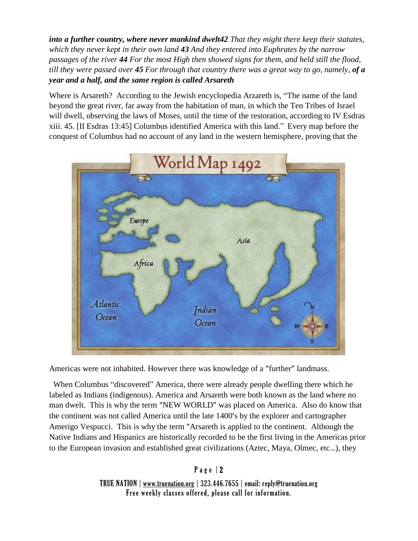*into a further country, where never mankind dwelt42 That they might there keep their statutes, which they never kept in their own land 43 And they entered into Euphrates by the narrow* passages of the river 44 For the most High then showed signs for them, and held still the flood, till they were passed over 45 For through that country there was a great way to go, namely, of  $a$ *year and a half, and the same region is called Arsareth*

Where is Arsareth? According to the Jewish encyclopedia Arzareth is, "The name of the land beyond the great river, far away from the habitation of man, in which the Ten Tribes of Israel will dwell, observing the laws of Moses, until the time of the restoration, according to IV Esdras xiii. 45. [II Esdras 13:45] Columbus identified America with this land." Every map before the conquest of Columbus had no account of any land in the western hemisphere, proving that the



Americas were not inhabited. However there was knowledge of a "further" landmass.

 When Columbus "discovered" America, there were already people dwelling there which he labeled as Indians (indigenous). America and Arsareth were both known as the land where no man dwelt. This is why the term "NEW WORLD" was placed on America. Also do know that the continent was not called America until the late 1400's by the explorer and cartographer Amerigo Vespucci. This is why the term "Arsareth is applied to the continent. Although the Native Indians and Hispanics are historically recorded to be the first living in the Americas prior to the European invasion and established great civilizations (Aztec, Maya, Olmec, etc…), they

> P a g e | 2 TRUE NATION | www.truenation.org | 323.446.7655 | email: reply@truenation.org Free weekly classes offered, please call for information.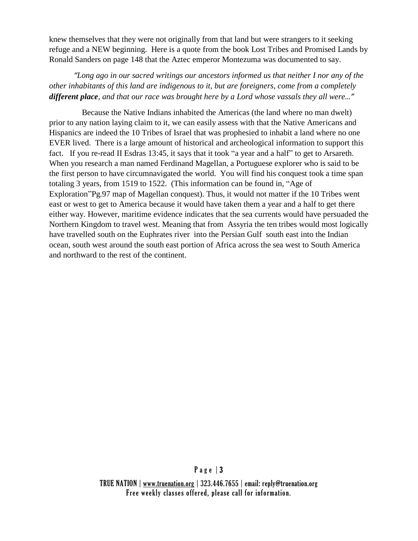knew themselves that they were not originally from that land but were strangers to it seeking refuge and a NEW beginning. Here is a quote from the book Lost Tribes and Promised Lands by Ronald Sanders on page 148 that the Aztec emperor Montezuma was documented to say.

*"Long ago in our sacred writings our ancestors informed us that neither I nor any of the other inhabitants of this land are indigenous to it, but are foreigners, come from a completely different place, and that our race was brought here by a Lord whose vassals they all were…"*

 Because the Native Indians inhabited the Americas (the land where no man dwelt) prior to any nation laying claim to it, we can easily assess with that the Native Americans and Hispanics are indeed the 10 Tribes of Israel that was prophesied to inhabit a land where no one EVER lived. There is a large amount of historical and archeological information to support this fact. If you re-read II Esdras 13:45, it says that it took "a year and a half" to get to Arsareth. When you research a man named Ferdinand Magellan, a Portuguese explorer who is said to be the first person to have circumnavigated the world. You will find his conquest took a time span totaling 3 years, from 1519 to 1522. (This information can be found in, "Age of Exploration"Pg.97 map of Magellan conquest). Thus, it would not matter if the 10 Tribes went east or west to get to America because it would have taken them a year and a half to get there either way. However, maritime evidence indicates that the sea currents would have persuaded the Northern Kingdom to travel west. Meaning that from Assyria the ten tribes would most logically have travelled south on the Euphrates river into the Persian Gulf south east into the Indian ocean, south west around the south east portion of Africa across the sea west to South America and northward to the rest of the continent.

## P a g e | 3

TRUE NATION | www.truenation.org | 323.446.7655 | email: reply@truenation.org Free weekly classes offered, please call for information.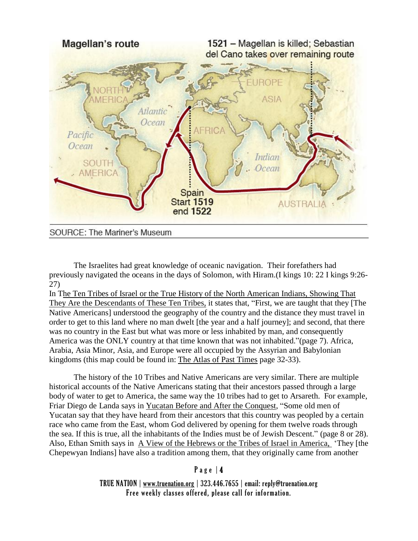

#### SOURCE: The Mariner's Museum

The Israelites had great knowledge of oceanic navigation. Their forefathers had previously navigated the oceans in the days of Solomon, with Hiram.(I kings 10: 22 I kings 9:26- 27)

In The Ten Tribes of Israel or the True History of the North American Indians, Showing That They Are the Descendants of These Ten Tribes, it states that, "First, we are taught that they [The Native Americans] understood the geography of the country and the distance they must travel in order to get to this land where no man dwelt [the year and a half journey]; and second, that there was no country in the East but what was more or less inhabited by man, and consequently America was the ONLY country at that time known that was not inhabited."(page 7). Africa, Arabia, Asia Minor, Asia, and Europe were all occupied by the Assyrian and Babylonian kingdoms (this map could be found in: The Atlas of Past Times page 32-33).

The history of the 10 Tribes and Native Americans are very similar. There are multiple historical accounts of the Native Americans stating that their ancestors passed through a large body of water to get to America, the same way the 10 tribes had to get to Arsareth. For example, Friar Diego de Landa says in Yucatan Before and After the Conquest, "Some old men of Yucatan say that they have heard from their ancestors that this country was peopled by a certain race who came from the East, whom God delivered by opening for them twelve roads through the sea. If this is true, all the inhabitants of the Indies must be of Jewish Descent." (page 8 or 28). Also, Ethan Smith says in A View of the Hebrews or the Tribes of Israel in America, 'They [the Chepewyan Indians] have also a tradition among them, that they originally came from another

## Page  $|4$

TRUE NATION | www.truenation.org | 323.446.7655 | email: reply@truenation.org Free weekly classes offered, please call for information.